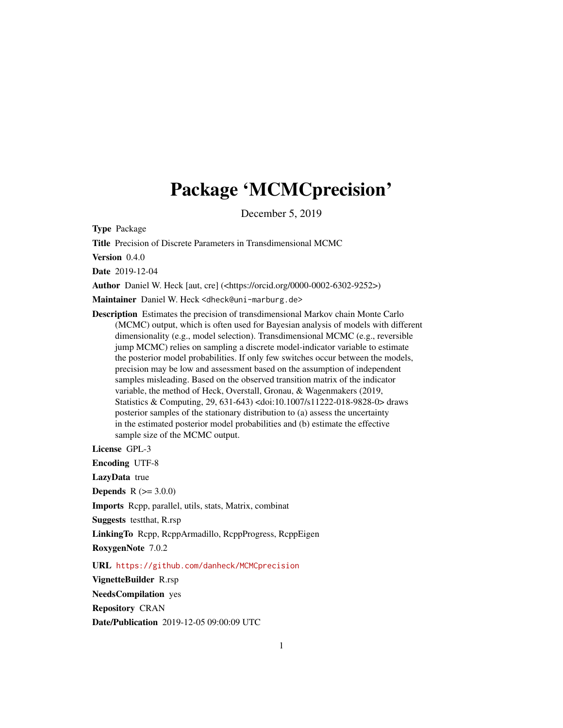## Package 'MCMCprecision'

December 5, 2019

<span id="page-0-0"></span>Type Package

Title Precision of Discrete Parameters in Transdimensional MCMC

Version 0.4.0

Date 2019-12-04

Author Daniel W. Heck [aut, cre] (<https://orcid.org/0000-0002-6302-9252>)

Maintainer Daniel W. Heck <dheck@uni-marburg.de>

Description Estimates the precision of transdimensional Markov chain Monte Carlo (MCMC) output, which is often used for Bayesian analysis of models with different dimensionality (e.g., model selection). Transdimensional MCMC (e.g., reversible jump MCMC) relies on sampling a discrete model-indicator variable to estimate the posterior model probabilities. If only few switches occur between the models, precision may be low and assessment based on the assumption of independent samples misleading. Based on the observed transition matrix of the indicator variable, the method of Heck, Overstall, Gronau, & Wagenmakers (2019, Statistics & Computing, 29, 631-643) <doi:10.1007/s11222-018-9828-0> draws posterior samples of the stationary distribution to (a) assess the uncertainty in the estimated posterior model probabilities and (b) estimate the effective sample size of the MCMC output.

License GPL-3

Encoding UTF-8

LazyData true

**Depends**  $R (= 3.0.0)$ 

Imports Rcpp, parallel, utils, stats, Matrix, combinat

Suggests testthat, R.rsp

LinkingTo Rcpp, RcppArmadillo, RcppProgress, RcppEigen

RoxygenNote 7.0.2

URL <https://github.com/danheck/MCMCprecision>

VignetteBuilder R.rsp

NeedsCompilation yes

Repository CRAN

Date/Publication 2019-12-05 09:00:09 UTC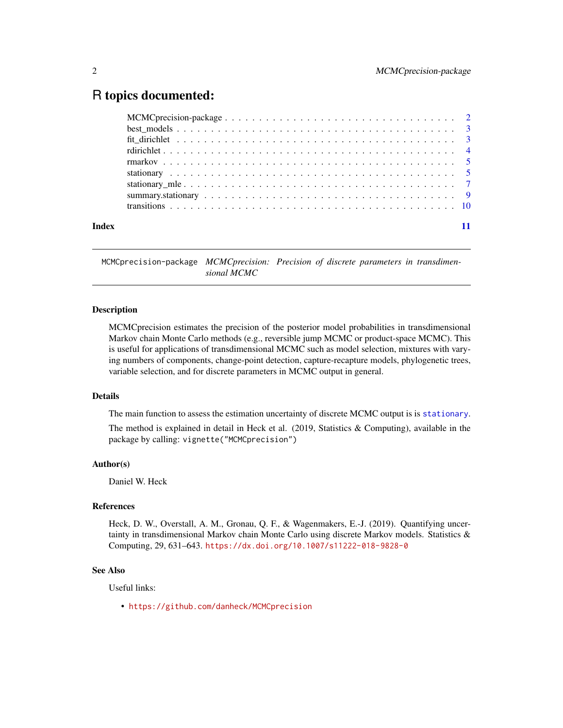## <span id="page-1-0"></span>R topics documented:

| Index |  |
|-------|--|

MCMCprecision-package *MCMCprecision: Precision of discrete parameters in transdimensional MCMC*

### Description

MCMCprecision estimates the precision of the posterior model probabilities in transdimensional Markov chain Monte Carlo methods (e.g., reversible jump MCMC or product-space MCMC). This is useful for applications of transdimensional MCMC such as model selection, mixtures with varying numbers of components, change-point detection, capture-recapture models, phylogenetic trees, variable selection, and for discrete parameters in MCMC output in general.

### Details

The main function to assess the estimation uncertainty of discrete MCMC output is is [stationary](#page-4-1).

The method is explained in detail in Heck et al. (2019, Statistics & Computing), available in the package by calling: vignette("MCMCprecision")

### Author(s)

Daniel W. Heck

### References

Heck, D. W., Overstall, A. M., Gronau, Q. F., & Wagenmakers, E.-J. (2019). Quantifying uncertainty in transdimensional Markov chain Monte Carlo using discrete Markov models. Statistics  $\&$ Computing, 29, 631–643. <https://dx.doi.org/10.1007/s11222-018-9828-0>

### See Also

Useful links:

• <https://github.com/danheck/MCMCprecision>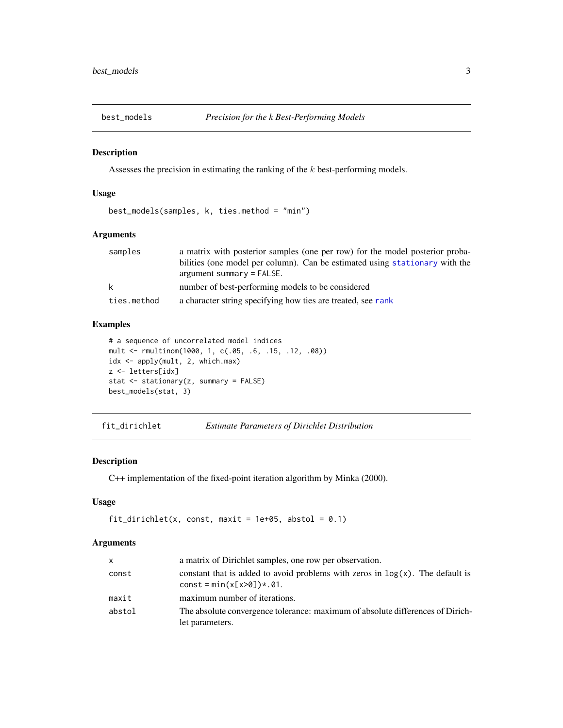<span id="page-2-2"></span><span id="page-2-0"></span>

### Description

Assesses the precision in estimating the ranking of the k best-performing models.

### Usage

```
best_models(samples, k, ties.method = "min")
```
### Arguments

| samples     | a matrix with posterior samples (one per row) for the model posterior proba- |
|-------------|------------------------------------------------------------------------------|
|             | bilities (one model per column). Can be estimated using stationary with the  |
|             | $argument summary = FALSE.$                                                  |
| k           | number of best-performing models to be considered                            |
| ties.method | a character string specifying how ties are treated, see rank                 |

### Examples

```
# a sequence of uncorrelated model indices
mult <- rmultinom(1000, 1, c(.05, .6, .15, .12, .08))
idx <- apply(mult, 2, which.max)
z <- letters[idx]
stat <- stationary(z, summary = FALSE)
best_models(stat, 3)
```
<span id="page-2-1"></span>fit\_dirichlet *Estimate Parameters of Dirichlet Distribution*

### Description

C++ implementation of the fixed-point iteration algorithm by Minka (2000).

### Usage

```
fit_dirichlet(x, const, maxit = 1e+05, abstol = 0.1)
```
### Arguments

| <b>X</b> | a matrix of Dirichlet samples, one row per observation.                                                        |
|----------|----------------------------------------------------------------------------------------------------------------|
| const    | constant that is added to avoid problems with zeros in $log(x)$ . The default is<br>$const = min(x[x>0])*.01.$ |
| maxit    | maximum number of iterations.                                                                                  |
| abstol   | The absolute convergence tolerance: maximum of absolute differences of Dirich-<br>let parameters.              |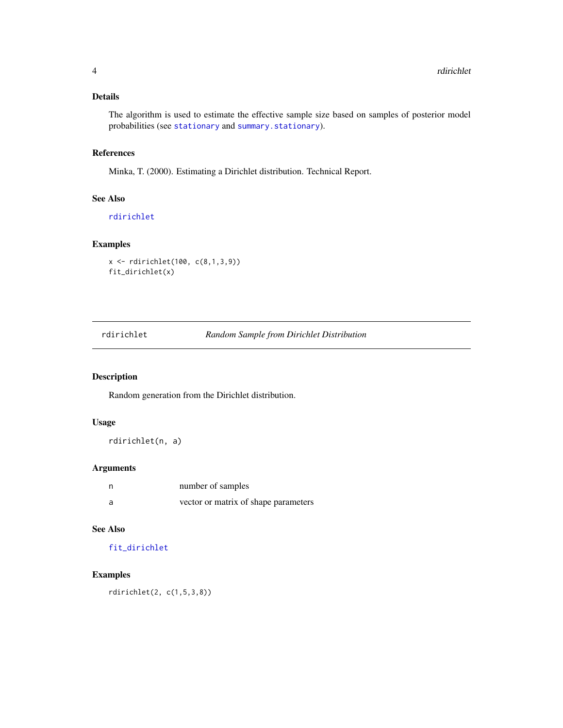### <span id="page-3-0"></span>Details

The algorithm is used to estimate the effective sample size based on samples of posterior model probabilities (see [stationary](#page-4-1) and [summary.stationary](#page-8-1)).

### References

Minka, T. (2000). Estimating a Dirichlet distribution. Technical Report.

### See Also

[rdirichlet](#page-3-1)

### Examples

```
x <- rdirichlet(100, c(8,1,3,9))
fit_dirichlet(x)
```
<span id="page-3-1"></span>rdirichlet *Random Sample from Dirichlet Distribution*

### Description

Random generation from the Dirichlet distribution.

### Usage

rdirichlet(n, a)

### Arguments

|     | number of samples                    |
|-----|--------------------------------------|
| - a | vector or matrix of shape parameters |

### See Also

### [fit\\_dirichlet](#page-2-1)

### Examples

rdirichlet(2, c(1,5,3,8))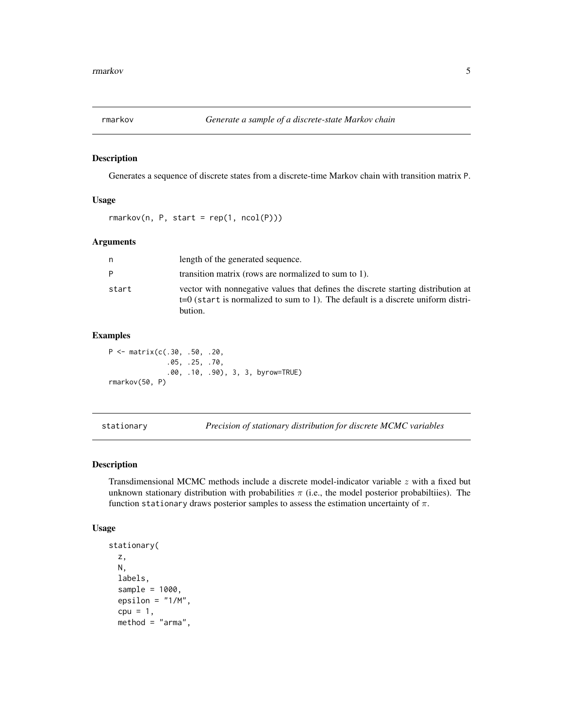<span id="page-4-0"></span>

### Description

Generates a sequence of discrete states from a discrete-time Markov chain with transition matrix P.

### Usage

 $r$ markov(n, P, start =  $rep(1, ncol(P)))$ 

### Arguments

| n.    | length of the generated sequence.                                                                                                                                                  |
|-------|------------------------------------------------------------------------------------------------------------------------------------------------------------------------------------|
| P     | transition matrix (rows are normalized to sum to 1).                                                                                                                               |
| start | vector with nonnegative values that defines the discrete starting distribution at<br>$t=0$ (start is normalized to sum to 1). The default is a discrete uniform distri-<br>bution. |

### Examples

P <- matrix(c(.30, .50, .20, .05, .25, .70, .00, .10, .90), 3, 3, byrow=TRUE) rmarkov(50, P)

<span id="page-4-1"></span>stationary *Precision of stationary distribution for discrete MCMC variables*

### Description

Transdimensional MCMC methods include a discrete model-indicator variable  $z$  with a fixed but unknown stationary distribution with probabilities  $\pi$  (i.e., the model posterior probabilities). The function stationary draws posterior samples to assess the estimation uncertainty of  $\pi$ .

### Usage

```
stationary(
 z,
 N,
  labels,
  sample = 1000,
  epsilon = "1/M",cpu = 1,method = "arma",
```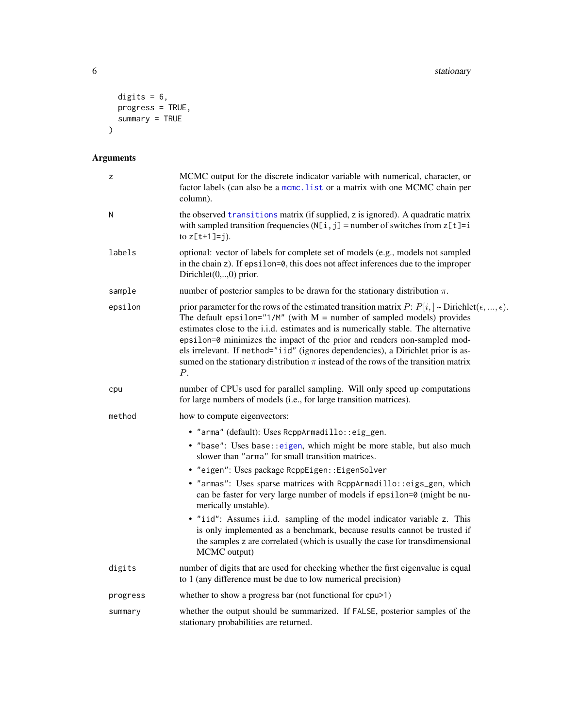```
digits = 6,
   progress = TRUE,
  summary = TRUE
\mathcal{L}
```
### Arguments

| z        | MCMC output for the discrete indicator variable with numerical, character, or<br>factor labels (can also be a mcmc. list or a matrix with one MCMC chain per<br>column).                                                                                                                                                                                                                                                                                                                                                                                   |
|----------|------------------------------------------------------------------------------------------------------------------------------------------------------------------------------------------------------------------------------------------------------------------------------------------------------------------------------------------------------------------------------------------------------------------------------------------------------------------------------------------------------------------------------------------------------------|
| N        | the observed transitions matrix (if supplied, z is ignored). A quadratic matrix<br>with sampled transition frequencies ( $N[i, j]$ = number of switches from $z[t]$ =i<br>to $z[t+1]=j$ ).                                                                                                                                                                                                                                                                                                                                                                 |
| labels   | optional: vector of labels for complete set of models (e.g., models not sampled<br>in the chain $z$ ). If epsilon=0, this does not affect inferences due to the improper<br>Dirichlet $(0,,0)$ prior.                                                                                                                                                                                                                                                                                                                                                      |
| sample   | number of posterior samples to be drawn for the stationary distribution $\pi$ .                                                                                                                                                                                                                                                                                                                                                                                                                                                                            |
| epsilon  | prior parameter for the rows of the estimated transition matrix $P: P[i, ] \sim Dirichlet(\epsilon, , \epsilon)$ .<br>The default epsilon=" $1/M''$ (with M = number of sampled models) provides<br>estimates close to the i.i.d. estimates and is numerically stable. The alternative<br>epsilon=0 minimizes the impact of the prior and renders non-sampled mod-<br>els irrelevant. If method="iid" (ignores dependencies), a Dirichlet prior is as-<br>sumed on the stationary distribution $\pi$ instead of the rows of the transition matrix<br>$P$ . |
| cpu      | number of CPUs used for parallel sampling. Will only speed up computations<br>for large numbers of models (i.e., for large transition matrices).                                                                                                                                                                                                                                                                                                                                                                                                           |
| method   | how to compute eigenvectors:                                                                                                                                                                                                                                                                                                                                                                                                                                                                                                                               |
|          | · "arma" (default): Uses RcppArmadillo::eig_gen.                                                                                                                                                                                                                                                                                                                                                                                                                                                                                                           |
|          | · "base": Uses base:: eigen, which might be more stable, but also much<br>slower than "arma" for small transition matrices.                                                                                                                                                                                                                                                                                                                                                                                                                                |
|          | • "eigen": Uses package RcppEigen:: EigenSolver                                                                                                                                                                                                                                                                                                                                                                                                                                                                                                            |
|          | · "armas": Uses sparse matrices with RcppArmadillo::eigs_gen, which<br>can be faster for very large number of models if epsilon=0 (might be nu-<br>merically unstable).                                                                                                                                                                                                                                                                                                                                                                                    |
|          | • "iid": Assumes i.i.d. sampling of the model indicator variable z. This<br>is only implemented as a benchmark, because results cannot be trusted if<br>the samples z are correlated (which is usually the case for transdimensional<br>MCMC output)                                                                                                                                                                                                                                                                                                       |
| digits   | number of digits that are used for checking whether the first eigenvalue is equal<br>to 1 (any difference must be due to low numerical precision)                                                                                                                                                                                                                                                                                                                                                                                                          |
| progress | whether to show a progress bar (not functional for cpu>1)                                                                                                                                                                                                                                                                                                                                                                                                                                                                                                  |
| summary  | whether the output should be summarized. If FALSE, posterior samples of the<br>stationary probabilities are returned.                                                                                                                                                                                                                                                                                                                                                                                                                                      |

<span id="page-5-0"></span>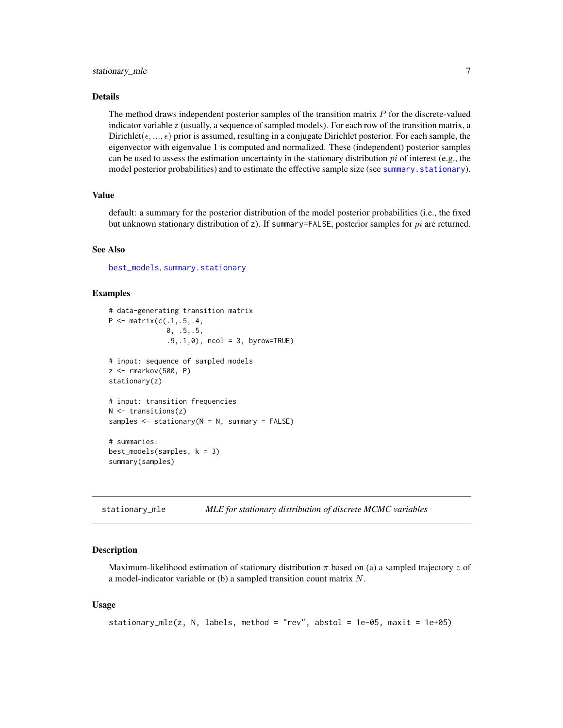### <span id="page-6-0"></span>Details

The method draws independent posterior samples of the transition matrix  $P$  for the discrete-valued indicator variable z (usually, a sequence of sampled models). For each row of the transition matrix, a Dirichlet( $(\epsilon, ..., \epsilon)$  prior is assumed, resulting in a conjugate Dirichlet posterior. For each sample, the eigenvector with eigenvalue 1 is computed and normalized. These (independent) posterior samples can be used to assess the estimation uncertainty in the stationary distribution  $pi$  of interest (e.g., the model posterior probabilities) and to estimate the effective sample size (see [summary.stationary](#page-8-1)).

### Value

default: a summary for the posterior distribution of the model posterior probabilities (i.e., the fixed but unknown stationary distribution of z). If summary=FALSE, posterior samples for  $pi$  are returned.

### See Also

[best\\_models](#page-2-2), [summary.stationary](#page-8-1)

### Examples

```
# data-generating transition matrix
P \leq - matrix(c(.1,.5,.4,
              0, .5,.5,
              .9,.1,0), ncol = 3, byrow=TRUE)
# input: sequence of sampled models
z <- rmarkov(500, P)
stationary(z)
# input: transition frequencies
N < - transitions(z)
samples \leq stationary(N = N, summary = FALSE)
# summaries:
best_models(samples, k = 3)summary(samples)
```
stationary\_mle *MLE for stationary distribution of discrete MCMC variables*

### **Description**

Maximum-likelihood estimation of stationary distribution  $\pi$  based on (a) a sampled trajectory z of a model-indicator variable or (b) a sampled transition count matrix  $N$ .

### Usage

```
stationary_mle(z, N, labels, method = "rev", abstol = 1e-05, maxit = 1e+05)
```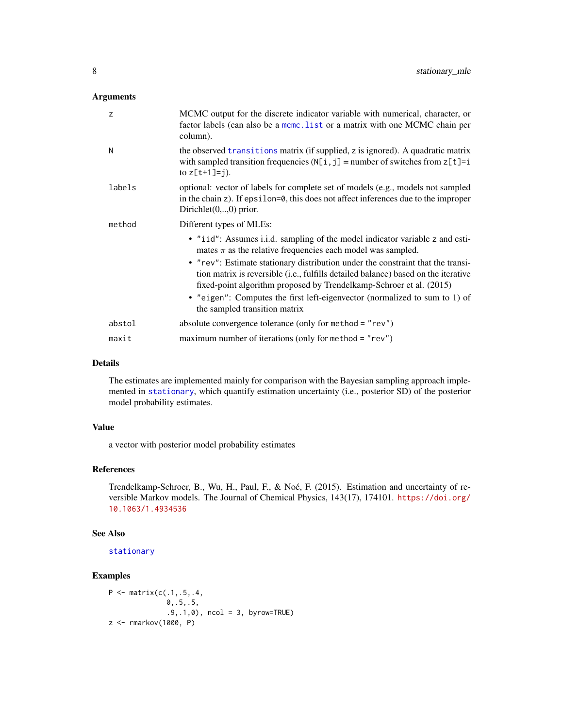### <span id="page-7-0"></span>Arguments

| z      | MCMC output for the discrete indicator variable with numerical, character, or<br>factor labels (can also be a mcmc. list or a matrix with one MCMC chain per<br>column).                                                                     |
|--------|----------------------------------------------------------------------------------------------------------------------------------------------------------------------------------------------------------------------------------------------|
| N      | the observed transitions matrix (if supplied, z is ignored). A quadratic matrix<br>with sampled transition frequencies $(N[i, j] =$ number of switches from $z[t]=i$<br>to $z[t+1]=j$ ).                                                     |
| labels | optional: vector of labels for complete set of models (e.g., models not sampled<br>in the chain z). If epsilon=0, this does not affect inferences due to the improper<br>Dirichlet $(0, \ldots, 0)$ prior.                                   |
| method | Different types of MLEs:                                                                                                                                                                                                                     |
|        | • "iid": Assumes i.i.d. sampling of the model indicator variable z and esti-<br>mates $\pi$ as the relative frequencies each model was sampled.                                                                                              |
|        | • "rev": Estimate stationary distribution under the constraint that the transi-<br>tion matrix is reversible (i.e., fulfills detailed balance) based on the iterative<br>fixed-point algorithm proposed by Trendelkamp-Schroer et al. (2015) |
|        | • "eigen": Computes the first left-eigenvector (normalized to sum to 1) of<br>the sampled transition matrix                                                                                                                                  |
| abstol | absolute convergence tolerance (only for method $=$ "rev")                                                                                                                                                                                   |
| maxit  | maximum number of iterations (only for method = " $rev$ ")                                                                                                                                                                                   |

### Details

The estimates are implemented mainly for comparison with the Bayesian sampling approach implemented in [stationary](#page-4-1), which quantify estimation uncertainty (i.e., posterior SD) of the posterior model probability estimates.

### Value

a vector with posterior model probability estimates

### References

Trendelkamp-Schroer, B., Wu, H., Paul, F., & Noé, F. (2015). Estimation and uncertainty of reversible Markov models. The Journal of Chemical Physics, 143(17), 174101. [https://doi.org/](https://doi.org/10.1063/1.4934536) [10.1063/1.4934536](https://doi.org/10.1063/1.4934536)

### See Also

[stationary](#page-4-1)

### Examples

```
P \leq - matrix(c(.1,.5,.4,
              0,.5,.5,
              .9,.1,0), ncol = 3, byrow=TRUE)
z <- rmarkov(1000, P)
```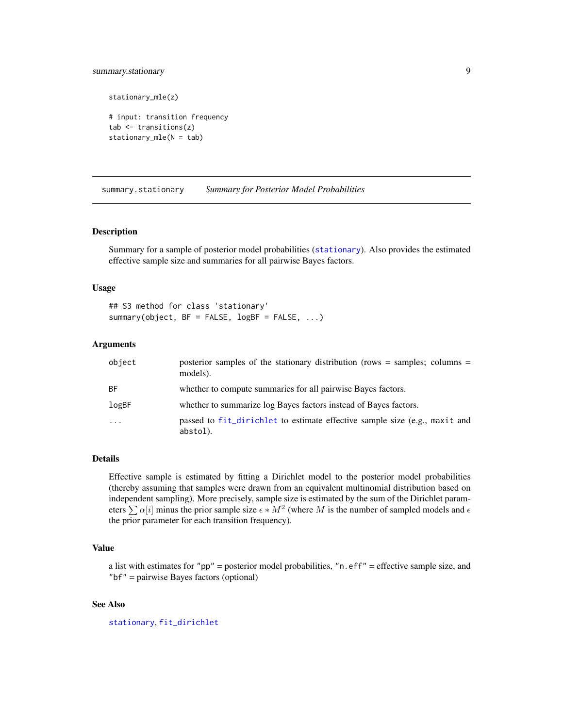### <span id="page-8-0"></span>summary.stationary 9

stationary\_mle(z)

```
# input: transition frequency
tab \leftarrow transitions(z)stationary_mle(N = tab)
```
<span id="page-8-1"></span>summary.stationary *Summary for Posterior Model Probabilities*

### Description

Summary for a sample of posterior model probabilities ([stationary](#page-4-1)). Also provides the estimated effective sample size and summaries for all pairwise Bayes factors.

### Usage

## S3 method for class 'stationary' summary(object, BF = FALSE, logBF = FALSE, ...)

### Arguments

| object    | posterior samples of the stationary distribution (rows = samples; columns =<br>models). |
|-----------|-----------------------------------------------------------------------------------------|
| BF.       | whether to compute summaries for all pairwise Bayes factors.                            |
| logBF     | whether to summarize log Bayes factors instead of Bayes factors.                        |
| $\ddotsc$ | passed to fit_dirichlet to estimate effective sample size (e.g., maxit and<br>abstol).  |

### Details

Effective sample is estimated by fitting a Dirichlet model to the posterior model probabilities (thereby assuming that samples were drawn from an equivalent multinomial distribution based on independent sampling). More precisely, sample size is estimated by the sum of the Dirichlet parameters  $\sum \alpha[i]$  minus the prior sample size  $\epsilon * M^2$  (where M is the number of sampled models and  $\epsilon$ the prior parameter for each transition frequency).

### Value

a list with estimates for "pp" = posterior model probabilities, "n.eff" = effective sample size, and "bf" = pairwise Bayes factors (optional)

### See Also

[stationary](#page-4-1), [fit\\_dirichlet](#page-2-1)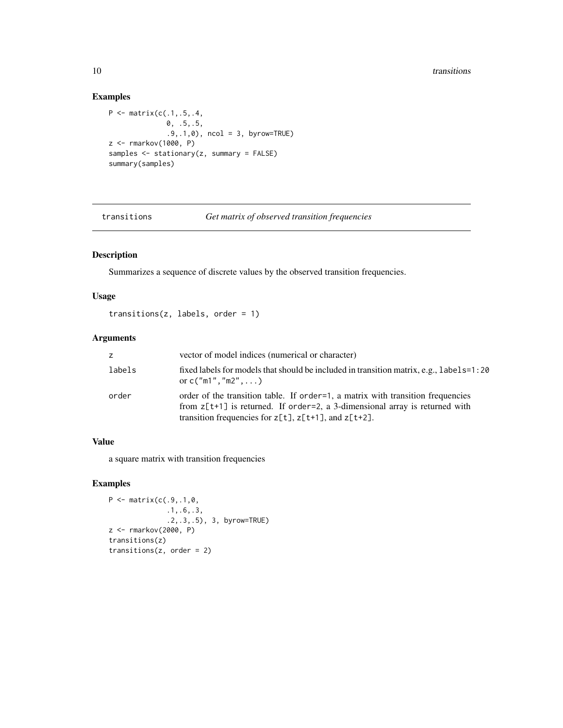### Examples

```
P <- matrix(c(.1,.5,.4,
              0, .5,.5,
              .9,.1,0), ncol = 3, byrow=TRUE)
z <- rmarkov(1000, P)
samples <- stationary(z, summary = FALSE)
summary(samples)
```
<span id="page-9-1"></span>

transitions *Get matrix of observed transition frequencies*

### Description

Summarizes a sequence of discrete values by the observed transition frequencies.

### Usage

```
transitions(z, labels, order = 1)
```
### Arguments

| Z.     | vector of model indices (numerical or character)                                                                                                                                                                                |
|--------|---------------------------------------------------------------------------------------------------------------------------------------------------------------------------------------------------------------------------------|
| labels | fixed labels for models that should be included in transition matrix, e.g., labels=1:20<br>or $c("m1", "m2", \ldots)$                                                                                                           |
| order  | order of the transition table. If order = 1, a matrix with transition frequencies<br>from $z[t+1]$ is returned. If order=2, a 3-dimensional array is returned with<br>transition frequencies for $z[t], z[t+1],$ and $z[t+2]$ . |

### Value

a square matrix with transition frequencies

### Examples

```
P \leq - matrix(c(.9,.1,0,
              .1,.6,.3,
              .2,.3,.5), 3, byrow=TRUE)
z <- rmarkov(2000, P)
transitions(z)
transitions(z, order = 2)
```
<span id="page-9-0"></span>